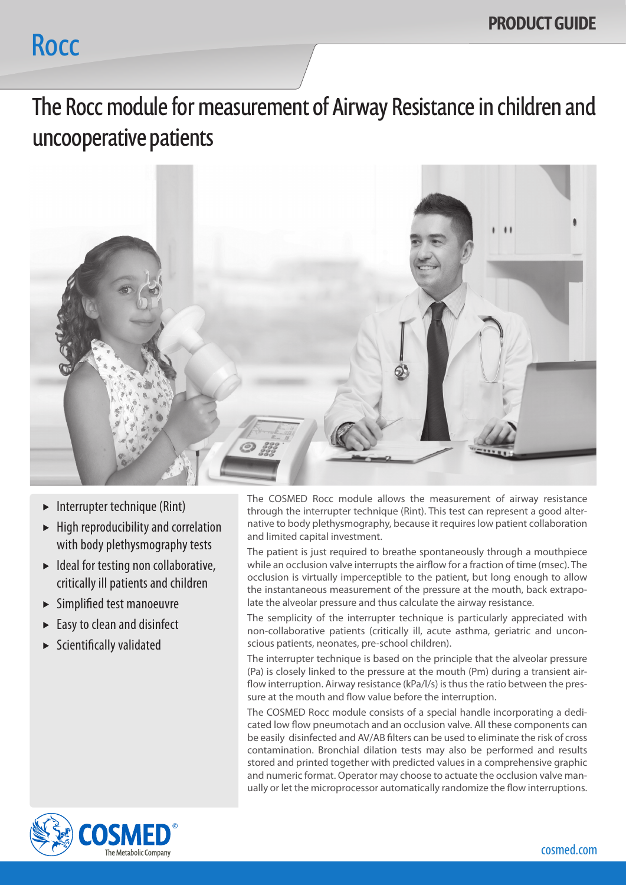## **Rocc**

The Rocc module for measurement of Airway Resistance in children and uncooperative patients



- $\blacktriangleright$  Interrupter technique (Rint)
- $\blacktriangleright$  High reproducibility and correlation with body plethysmography tests
- $\blacktriangleright$  Ideal for testing non collaborative, critically ill patients and children
- $\blacktriangleright$  Simplified test manoeuvre
- Easy to clean and disinfect
- $\blacktriangleright$  Scientifically validated

The COSMED Rocc module allows the measurement of airway resistance through the interrupter technique (Rint). This test can represent a good alternative to body plethysmography, because it requires low patient collaboration and limited capital investment.

The patient is just required to breathe spontaneously through a mouthpiece while an occlusion valve interrupts the airflow for a fraction of time (msec). The occlusion is virtually imperceptible to the patient, but long enough to allow the instantaneous measurement of the pressure at the mouth, back extrapolate the alveolar pressure and thus calculate the airway resistance.

The semplicity of the interrupter technique is particularly appreciated with non-collaborative patients (critically ill, acute asthma, geriatric and unconscious patients, neonates, pre-school children).

The interrupter technique is based on the principle that the alveolar pressure (Pa) is closely linked to the pressure at the mouth (Pm) during a transient airflow interruption. Airway resistance (kPa/l/s) is thus the ratio between the pressure at the mouth and flow value before the interruption.

The COSMED Rocc module consists of a special handle incorporating a dedicated low flow pneumotach and an occlusion valve. All these components can be easily disinfected and AV/AB filters can be used to eliminate the risk of cross contamination. Bronchial dilation tests may also be performed and results stored and printed together with predicted values in a comprehensive graphic and numeric format. Operator may choose to actuate the occlusion valve manually or let the microprocessor automatically randomize the flow interruptions.